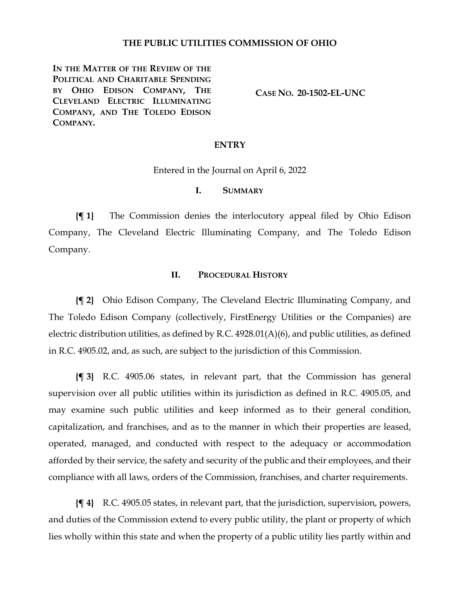### **THE PUBLIC UTILITIES COMMISSION OF OHIO**

**IN THE MATTER OF THE REVIEW OF THE POLITICAL AND CHARITABLE SPENDING BY OHIO EDISON COMPANY, THE CLEVELAND ELECTRIC ILLUMINATING COMPANY, AND THE TOLEDO EDISON COMPANY.**

**CASE NO. 20-1502-EL-UNC**

#### **ENTRY**

Entered in the Journal on April 6, 2022

### **I. SUMMARY**

**{¶ 1}** The Commission denies the interlocutory appeal filed by Ohio Edison Company, The Cleveland Electric Illuminating Company, and The Toledo Edison Company.

#### **II. PROCEDURAL HISTORY**

**{¶ 2}** Ohio Edison Company, The Cleveland Electric Illuminating Company, and The Toledo Edison Company (collectively, FirstEnergy Utilities or the Companies) are electric distribution utilities, as defined by R.C. 4928.01(A)(6), and public utilities, as defined in R.C. 4905.02, and, as such, are subject to the jurisdiction of this Commission.

**{¶ 3}** R.C. 4905.06 states, in relevant part, that the Commission has general supervision over all public utilities within its jurisdiction as defined in R.C. 4905.05, and may examine such public utilities and keep informed as to their general condition, capitalization, and franchises, and as to the manner in which their properties are leased, operated, managed, and conducted with respect to the adequacy or accommodation afforded by their service, the safety and security of the public and their employees, and their compliance with all laws, orders of the Commission, franchises, and charter requirements.

**{¶ 4}** R.C. 4905.05 states, in relevant part, that the jurisdiction, supervision, powers, and duties of the Commission extend to every public utility, the plant or property of which lies wholly within this state and when the property of a public utility lies partly within and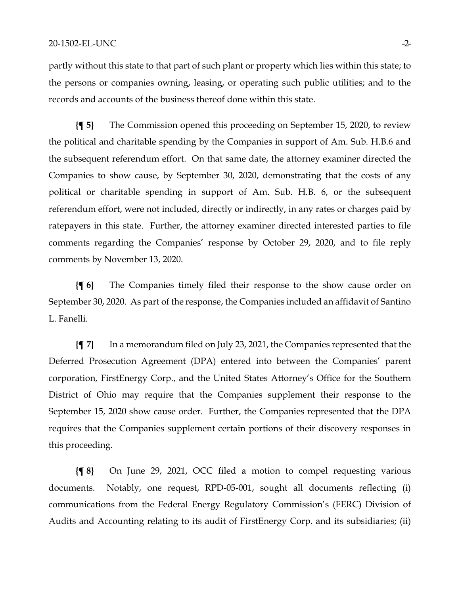partly without this state to that part of such plant or property which lies within this state; to the persons or companies owning, leasing, or operating such public utilities; and to the records and accounts of the business thereof done within this state.

**{¶ 5}** The Commission opened this proceeding on September 15, 2020, to review the political and charitable spending by the Companies in support of Am. Sub. H.B.6 and the subsequent referendum effort. On that same date, the attorney examiner directed the Companies to show cause, by September 30, 2020, demonstrating that the costs of any political or charitable spending in support of Am. Sub. H.B. 6, or the subsequent referendum effort, were not included, directly or indirectly, in any rates or charges paid by ratepayers in this state. Further, the attorney examiner directed interested parties to file comments regarding the Companies' response by October 29, 2020, and to file reply comments by November 13, 2020.

**{¶ 6}** The Companies timely filed their response to the show cause order on September 30, 2020. As part of the response, the Companies included an affidavit of Santino L. Fanelli.

**{¶ 7}** In a memorandum filed on July 23, 2021, the Companies represented that the Deferred Prosecution Agreement (DPA) entered into between the Companies' parent corporation, FirstEnergy Corp., and the United States Attorney's Office for the Southern District of Ohio may require that the Companies supplement their response to the September 15, 2020 show cause order. Further, the Companies represented that the DPA requires that the Companies supplement certain portions of their discovery responses in this proceeding.

**{¶ 8}** On June 29, 2021, OCC filed a motion to compel requesting various documents. Notably, one request, RPD-05-001, sought all documents reflecting (i) communications from the Federal Energy Regulatory Commission's (FERC) Division of Audits and Accounting relating to its audit of FirstEnergy Corp. and its subsidiaries; (ii)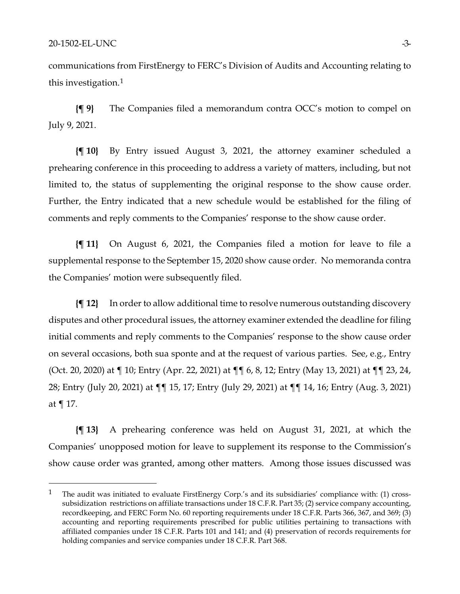communications from FirstEnergy to FERC's Division of Audits and Accounting relating to this investigation.[1](#page-2-0)

**{¶ 9}** The Companies filed a memorandum contra OCC's motion to compel on July 9, 2021.

**{¶ 10}** By Entry issued August 3, 2021, the attorney examiner scheduled a prehearing conference in this proceeding to address a variety of matters, including, but not limited to, the status of supplementing the original response to the show cause order. Further, the Entry indicated that a new schedule would be established for the filing of comments and reply comments to the Companies' response to the show cause order.

**{¶ 11}** On August 6, 2021, the Companies filed a motion for leave to file a supplemental response to the September 15, 2020 show cause order. No memoranda contra the Companies' motion were subsequently filed.

**{¶ 12}** In order to allow additional time to resolve numerous outstanding discovery disputes and other procedural issues, the attorney examiner extended the deadline for filing initial comments and reply comments to the Companies' response to the show cause order on several occasions, both sua sponte and at the request of various parties. See, e.g., Entry (Oct. 20, 2020) at ¶ 10; Entry (Apr. 22, 2021) at ¶¶ 6, 8, 12; Entry (May 13, 2021) at ¶¶ 23, 24, 28; Entry (July 20, 2021) at ¶¶ 15, 17; Entry (July 29, 2021) at ¶¶ 14, 16; Entry (Aug. 3, 2021) at ¶ 17.

**{¶ 13}** A prehearing conference was held on August 31, 2021, at which the Companies' unopposed motion for leave to supplement its response to the Commission's show cause order was granted, among other matters. Among those issues discussed was

<span id="page-2-0"></span><sup>&</sup>lt;sup>1</sup> The audit was initiated to evaluate FirstEnergy Corp.'s and its subsidiaries' compliance with: (1) crosssubsidization restrictions on affiliate transactions under 18 C.F.R. Part 35; (2) service company accounting, recordkeeping, and FERC Form No. 60 reporting requirements under 18 C.F.R. Parts 366, 367, and 369; (3) accounting and reporting requirements prescribed for public utilities pertaining to transactions with affiliated companies under 18 C.F.R. Parts 101 and 141; and (4) preservation of records requirements for holding companies and service companies under 18 C.F.R. Part 368.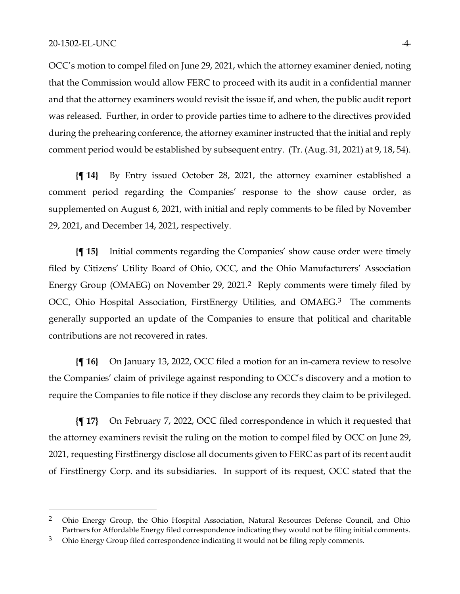OCC's motion to compel filed on June 29, 2021, which the attorney examiner denied, noting that the Commission would allow FERC to proceed with its audit in a confidential manner and that the attorney examiners would revisit the issue if, and when, the public audit report was released. Further, in order to provide parties time to adhere to the directives provided during the prehearing conference, the attorney examiner instructed that the initial and reply comment period would be established by subsequent entry. (Tr. (Aug. 31, 2021) at 9, 18, 54).

**{¶ 14}** By Entry issued October 28, 2021, the attorney examiner established a comment period regarding the Companies' response to the show cause order, as supplemented on August 6, 2021, with initial and reply comments to be filed by November 29, 2021, and December 14, 2021, respectively.

**{¶ 15}** Initial comments regarding the Companies' show cause order were timely filed by Citizens' Utility Board of Ohio, OCC, and the Ohio Manufacturers' Association Energy Group (OMAEG) on November 29, 2021.[2](#page-3-0) Reply comments were timely filed by OCC, Ohio Hospital Association, FirstEnergy Utilities, and OMAEG.<sup>[3](#page-3-1)</sup> The comments generally supported an update of the Companies to ensure that political and charitable contributions are not recovered in rates.

**{¶ 16}** On January 13, 2022, OCC filed a motion for an in-camera review to resolve the Companies' claim of privilege against responding to OCC's discovery and a motion to require the Companies to file notice if they disclose any records they claim to be privileged.

**{¶ 17}** On February 7, 2022, OCC filed correspondence in which it requested that the attorney examiners revisit the ruling on the motion to compel filed by OCC on June 29, 2021, requesting FirstEnergy disclose all documents given to FERC as part of its recent audit of FirstEnergy Corp. and its subsidiaries. In support of its request, OCC stated that the

<span id="page-3-0"></span><sup>&</sup>lt;sup>2</sup> Ohio Energy Group, the Ohio Hospital Association, Natural Resources Defense Council, and Ohio Partners for Affordable Energy filed correspondence indicating they would not be filing initial comments.

<span id="page-3-1"></span> $3$  Ohio Energy Group filed correspondence indicating it would not be filing reply comments.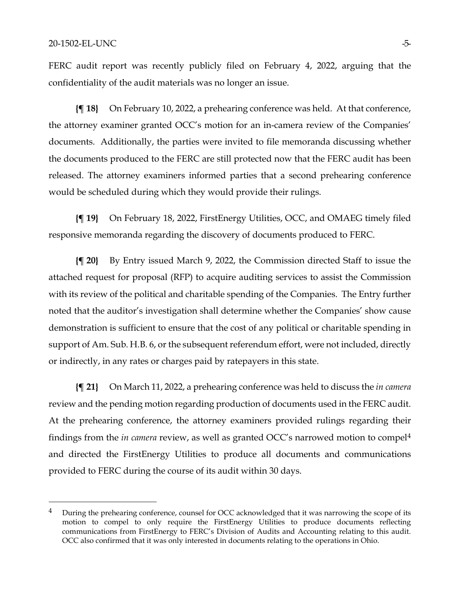FERC audit report was recently publicly filed on February 4, 2022, arguing that the confidentiality of the audit materials was no longer an issue.

**{¶ 18}** On February 10, 2022, a prehearing conference was held. At that conference, the attorney examiner granted OCC's motion for an in-camera review of the Companies' documents. Additionally, the parties were invited to file memoranda discussing whether the documents produced to the FERC are still protected now that the FERC audit has been released. The attorney examiners informed parties that a second prehearing conference would be scheduled during which they would provide their rulings.

**{¶ 19}** On February 18, 2022, FirstEnergy Utilities, OCC, and OMAEG timely filed responsive memoranda regarding the discovery of documents produced to FERC.

**{¶ 20}** By Entry issued March 9, 2022, the Commission directed Staff to issue the attached request for proposal (RFP) to acquire auditing services to assist the Commission with its review of the political and charitable spending of the Companies. The Entry further noted that the auditor's investigation shall determine whether the Companies' show cause demonstration is sufficient to ensure that the cost of any political or charitable spending in support of Am. Sub. H.B. 6, or the subsequent referendum effort, were not included, directly or indirectly, in any rates or charges paid by ratepayers in this state.

**{¶ 21}** On March 11, 2022, a prehearing conference was held to discuss the *in camera* review and the pending motion regarding production of documents used in the FERC audit. At the prehearing conference, the attorney examiners provided rulings regarding their findings from the *in camera* review, as well as granted OCC's narrowed motion to compel[4](#page-4-0) and directed the FirstEnergy Utilities to produce all documents and communications provided to FERC during the course of its audit within 30 days.

<span id="page-4-0"></span><sup>&</sup>lt;sup>4</sup> During the prehearing conference, counsel for OCC acknowledged that it was narrowing the scope of its motion to compel to only require the FirstEnergy Utilities to produce documents reflecting communications from FirstEnergy to FERC's Division of Audits and Accounting relating to this audit. OCC also confirmed that it was only interested in documents relating to the operations in Ohio.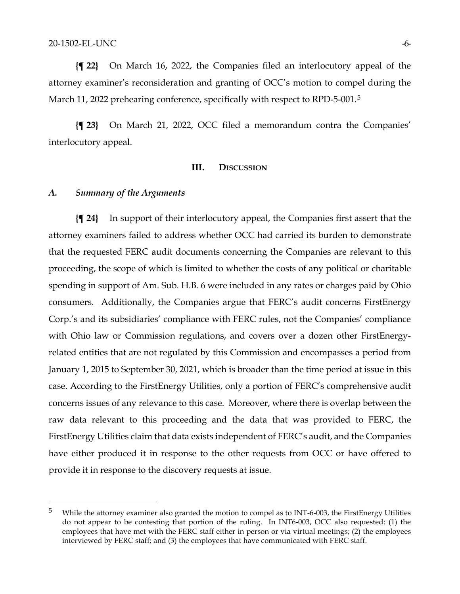**{¶ 22}** On March 16, 2022, the Companies filed an interlocutory appeal of the attorney examiner's reconsideration and granting of OCC's motion to compel during the March 11, 2022 prehearing conference, specifically with respect to RPD-[5](#page-5-0)-001.<sup>5</sup>

**{¶ 23}** On March 21, 2022, OCC filed a memorandum contra the Companies' interlocutory appeal.

#### **III. DISCUSSION**

#### *A. Summary of the Arguments*

**{¶ 24}** In support of their interlocutory appeal, the Companies first assert that the attorney examiners failed to address whether OCC had carried its burden to demonstrate that the requested FERC audit documents concerning the Companies are relevant to this proceeding, the scope of which is limited to whether the costs of any political or charitable spending in support of Am. Sub. H.B. 6 were included in any rates or charges paid by Ohio consumers. Additionally, the Companies argue that FERC's audit concerns FirstEnergy Corp.'s and its subsidiaries' compliance with FERC rules, not the Companies' compliance with Ohio law or Commission regulations, and covers over a dozen other FirstEnergyrelated entities that are not regulated by this Commission and encompasses a period from January 1, 2015 to September 30, 2021, which is broader than the time period at issue in this case. According to the FirstEnergy Utilities, only a portion of FERC's comprehensive audit concerns issues of any relevance to this case. Moreover, where there is overlap between the raw data relevant to this proceeding and the data that was provided to FERC, the FirstEnergy Utilities claim that data exists independent of FERC's audit, and the Companies have either produced it in response to the other requests from OCC or have offered to provide it in response to the discovery requests at issue.

<span id="page-5-0"></span><sup>&</sup>lt;sup>5</sup> While the attorney examiner also granted the motion to compel as to INT-6-003, the FirstEnergy Utilities do not appear to be contesting that portion of the ruling. In INT6-003, OCC also requested: (1) the employees that have met with the FERC staff either in person or via virtual meetings; (2) the employees interviewed by FERC staff; and (3) the employees that have communicated with FERC staff.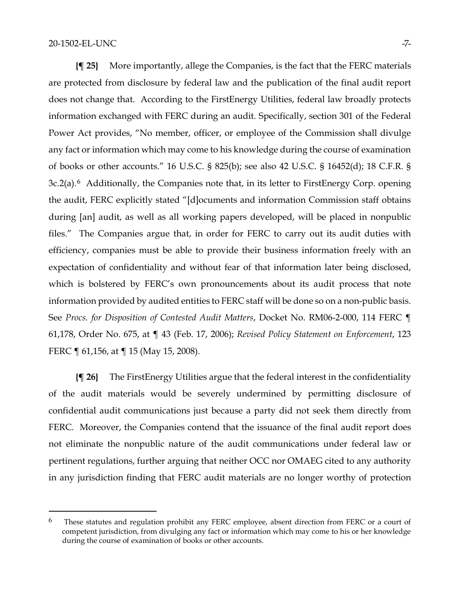**{¶ 25}** More importantly, allege the Companies, is the fact that the FERC materials are protected from disclosure by federal law and the publication of the final audit report does not change that. According to the FirstEnergy Utilities, federal law broadly protects information exchanged with FERC during an audit. Specifically, section 301 of the Federal Power Act provides, "No member, officer, or employee of the Commission shall divulge any fact or information which may come to his knowledge during the course of examination of books or other accounts." 16 U.S.C. § 825(b); see also 42 U.S.C. § 16452(d); 18 C.F.R. § 3c.2(a).[6](#page-6-0) Additionally, the Companies note that, in its letter to FirstEnergy Corp. opening the audit, FERC explicitly stated "[d]ocuments and information Commission staff obtains during [an] audit, as well as all working papers developed, will be placed in nonpublic files." The Companies argue that, in order for FERC to carry out its audit duties with efficiency, companies must be able to provide their business information freely with an expectation of confidentiality and without fear of that information later being disclosed, which is bolstered by FERC's own pronouncements about its audit process that note information provided by audited entities to FERC staff will be done so on a non-public basis. See *Procs. for Disposition of Contested Audit Matters*, Docket No. RM06-2-000, 114 FERC ¶ 61,178, Order No. 675, at ¶ 43 (Feb. 17, 2006); *Revised Policy Statement on Enforcement*, 123 FERC ¶ 61,156, at ¶ 15 (May 15, 2008).

**{¶ 26}** The FirstEnergy Utilities argue that the federal interest in the confidentiality of the audit materials would be severely undermined by permitting disclosure of confidential audit communications just because a party did not seek them directly from FERC. Moreover, the Companies contend that the issuance of the final audit report does not eliminate the nonpublic nature of the audit communications under federal law or pertinent regulations, further arguing that neither OCC nor OMAEG cited to any authority in any jurisdiction finding that FERC audit materials are no longer worthy of protection

<span id="page-6-0"></span> $6$  These statutes and regulation prohibit any FERC employee, absent direction from FERC or a court of competent jurisdiction, from divulging any fact or information which may come to his or her knowledge during the course of examination of books or other accounts.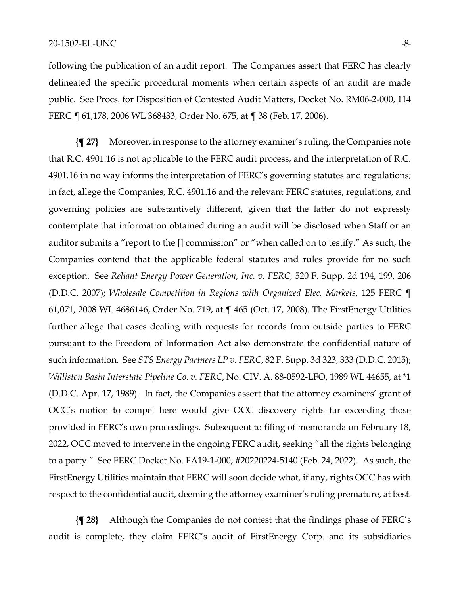following the publication of an audit report. The Companies assert that FERC has clearly delineated the specific procedural moments when certain aspects of an audit are made public. See Procs. for Disposition of Contested Audit Matters, Docket No. RM06-2-000, 114 FERC ¶ 61,178, 2006 WL 368433, Order No. 675, at ¶ 38 (Feb. 17, 2006).

**{¶ 27}** Moreover, in response to the attorney examiner's ruling, the Companies note that R.C. 4901.16 is not applicable to the FERC audit process, and the interpretation of R.C. 4901.16 in no way informs the interpretation of FERC's governing statutes and regulations; in fact, allege the Companies, R.C. 4901.16 and the relevant FERC statutes, regulations, and governing policies are substantively different, given that the latter do not expressly contemplate that information obtained during an audit will be disclosed when Staff or an auditor submits a "report to the [] commission" or "when called on to testify." As such, the Companies contend that the applicable federal statutes and rules provide for no such exception. See *Reliant Energy Power Generation, Inc. v. FERC*, 520 F. Supp. 2d 194, 199, 206 (D.D.C. 2007); *Wholesale Competition in Regions with Organized Elec. Markets*, 125 FERC ¶ 61,071, 2008 WL 4686146, Order No. 719, at ¶ 465 (Oct. 17, 2008). The FirstEnergy Utilities further allege that cases dealing with requests for records from outside parties to FERC pursuant to the Freedom of Information Act also demonstrate the confidential nature of such information. See *STS Energy Partners LP v. FERC*, 82 F. Supp. 3d 323, 333 (D.D.C. 2015); *Williston Basin Interstate Pipeline Co. v. FERC*, No. CIV. A. 88-0592-LFO, 1989 WL 44655, at \*1 (D.D.C. Apr. 17, 1989). In fact, the Companies assert that the attorney examiners' grant of OCC's motion to compel here would give OCC discovery rights far exceeding those provided in FERC's own proceedings. Subsequent to filing of memoranda on February 18, 2022, OCC moved to intervene in the ongoing FERC audit, seeking "all the rights belonging to a party." See FERC Docket No. FA19-1-000, #20220224-5140 (Feb. 24, 2022). As such, the FirstEnergy Utilities maintain that FERC will soon decide what, if any, rights OCC has with respect to the confidential audit, deeming the attorney examiner's ruling premature, at best.

**{¶ 28}** Although the Companies do not contest that the findings phase of FERC's audit is complete, they claim FERC's audit of FirstEnergy Corp. and its subsidiaries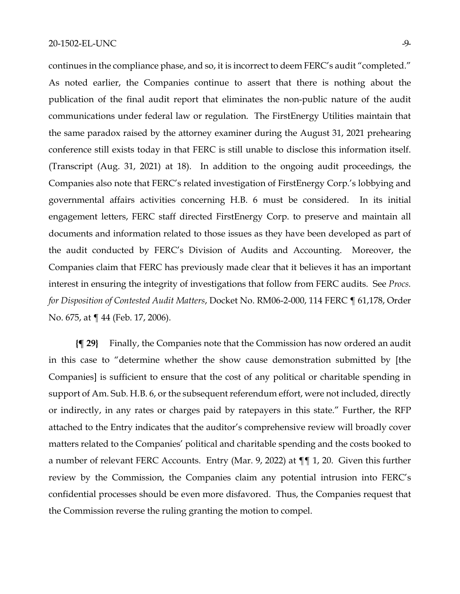continues in the compliance phase, and so, it is incorrect to deem FERC's audit "completed." As noted earlier, the Companies continue to assert that there is nothing about the publication of the final audit report that eliminates the non-public nature of the audit communications under federal law or regulation. The FirstEnergy Utilities maintain that the same paradox raised by the attorney examiner during the August 31, 2021 prehearing conference still exists today in that FERC is still unable to disclose this information itself. (Transcript (Aug. 31, 2021) at 18). In addition to the ongoing audit proceedings, the Companies also note that FERC's related investigation of FirstEnergy Corp.'s lobbying and governmental affairs activities concerning H.B. 6 must be considered. In its initial engagement letters, FERC staff directed FirstEnergy Corp. to preserve and maintain all documents and information related to those issues as they have been developed as part of the audit conducted by FERC's Division of Audits and Accounting. Moreover, the Companies claim that FERC has previously made clear that it believes it has an important interest in ensuring the integrity of investigations that follow from FERC audits. See *Procs. for Disposition of Contested Audit Matters*, Docket No. RM06-2-000, 114 FERC ¶ 61,178, Order No. 675, at ¶ 44 (Feb. 17, 2006).

**{¶ 29}** Finally, the Companies note that the Commission has now ordered an audit in this case to "determine whether the show cause demonstration submitted by [the Companies] is sufficient to ensure that the cost of any political or charitable spending in support of Am. Sub. H.B. 6, or the subsequent referendum effort, were not included, directly or indirectly, in any rates or charges paid by ratepayers in this state." Further, the RFP attached to the Entry indicates that the auditor's comprehensive review will broadly cover matters related to the Companies' political and charitable spending and the costs booked to a number of relevant FERC Accounts. Entry (Mar. 9, 2022) at ¶¶ 1, 20. Given this further review by the Commission, the Companies claim any potential intrusion into FERC's confidential processes should be even more disfavored. Thus, the Companies request that the Commission reverse the ruling granting the motion to compel.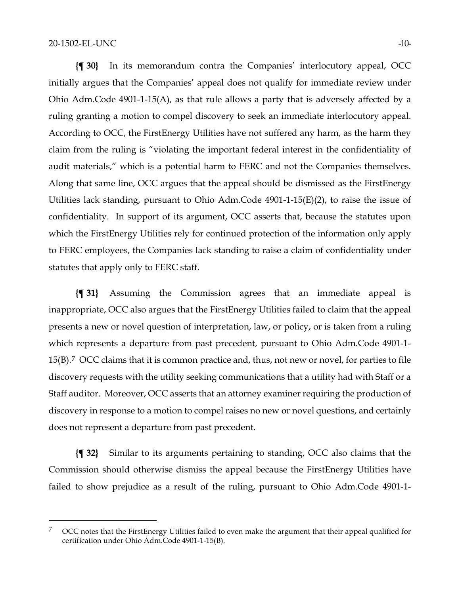**{¶ 30}** In its memorandum contra the Companies' interlocutory appeal, OCC initially argues that the Companies' appeal does not qualify for immediate review under Ohio Adm.Code 4901-1-15(A), as that rule allows a party that is adversely affected by a ruling granting a motion to compel discovery to seek an immediate interlocutory appeal. According to OCC, the FirstEnergy Utilities have not suffered any harm, as the harm they claim from the ruling is "violating the important federal interest in the confidentiality of audit materials," which is a potential harm to FERC and not the Companies themselves. Along that same line, OCC argues that the appeal should be dismissed as the FirstEnergy Utilities lack standing, pursuant to Ohio Adm.Code 4901-1-15(E)(2), to raise the issue of confidentiality. In support of its argument, OCC asserts that, because the statutes upon which the FirstEnergy Utilities rely for continued protection of the information only apply to FERC employees, the Companies lack standing to raise a claim of confidentiality under statutes that apply only to FERC staff.

**{¶ 31}** Assuming the Commission agrees that an immediate appeal is inappropriate, OCC also argues that the FirstEnergy Utilities failed to claim that the appeal presents a new or novel question of interpretation, law, or policy, or is taken from a ruling which represents a departure from past precedent, pursuant to Ohio Adm.Code 4901-1- 15(B).[7](#page-9-0) OCC claims that it is common practice and, thus, not new or novel, for parties to file discovery requests with the utility seeking communications that a utility had with Staff or a Staff auditor. Moreover, OCC asserts that an attorney examiner requiring the production of discovery in response to a motion to compel raises no new or novel questions, and certainly does not represent a departure from past precedent.

**{¶ 32}** Similar to its arguments pertaining to standing, OCC also claims that the Commission should otherwise dismiss the appeal because the FirstEnergy Utilities have failed to show prejudice as a result of the ruling, pursuant to Ohio Adm.Code 4901-1-

<span id="page-9-0"></span><sup>&</sup>lt;sup>7</sup> OCC notes that the FirstEnergy Utilities failed to even make the argument that their appeal qualified for certification under Ohio Adm.Code 4901-1-15(B).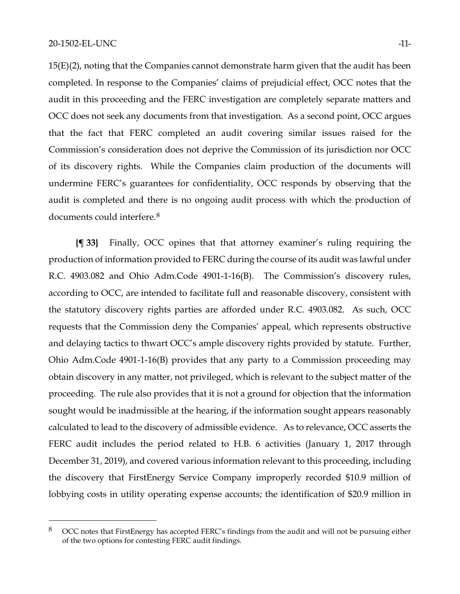15(E)(2), noting that the Companies cannot demonstrate harm given that the audit has been completed. In response to the Companies' claims of prejudicial effect, OCC notes that the audit in this proceeding and the FERC investigation are completely separate matters and OCC does not seek any documents from that investigation. As a second point, OCC argues that the fact that FERC completed an audit covering similar issues raised for the Commission's consideration does not deprive the Commission of its jurisdiction nor OCC of its discovery rights. While the Companies claim production of the documents will undermine FERC's guarantees for confidentiality, OCC responds by observing that the audit is completed and there is no ongoing audit process with which the production of documents could interfere.<sup>[8](#page-10-0)</sup>

**{¶ 33}** Finally, OCC opines that that attorney examiner's ruling requiring the production of information provided to FERC during the course of its audit was lawful under R.C. 4903.082 and Ohio Adm.Code 4901-1-16(B). The Commission's discovery rules, according to OCC, are intended to facilitate full and reasonable discovery, consistent with the statutory discovery rights parties are afforded under R.C. 4903.082. As such, OCC requests that the Commission deny the Companies' appeal, which represents obstructive and delaying tactics to thwart OCC's ample discovery rights provided by statute. Further, Ohio Adm.Code 4901-1-16(B) provides that any party to a Commission proceeding may obtain discovery in any matter, not privileged, which is relevant to the subject matter of the proceeding. The rule also provides that it is not a ground for objection that the information sought would be inadmissible at the hearing, if the information sought appears reasonably calculated to lead to the discovery of admissible evidence. As to relevance, OCC asserts the FERC audit includes the period related to H.B. 6 activities (January 1, 2017 through December 31, 2019), and covered various information relevant to this proceeding, including the discovery that FirstEnergy Service Company improperly recorded \$10.9 million of lobbying costs in utility operating expense accounts; the identification of \$20.9 million in

<span id="page-10-0"></span><sup>8</sup> OCC notes that FirstEnergy has accepted FERC's findings from the audit and will not be pursuing either of the two options for contesting FERC audit findings.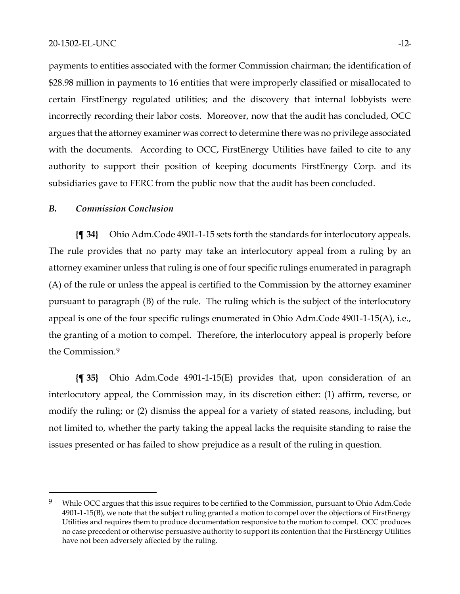payments to entities associated with the former Commission chairman; the identification of \$28.98 million in payments to 16 entities that were improperly classified or misallocated to certain FirstEnergy regulated utilities; and the discovery that internal lobbyists were incorrectly recording their labor costs. Moreover, now that the audit has concluded, OCC argues that the attorney examiner was correct to determine there was no privilege associated with the documents. According to OCC, FirstEnergy Utilities have failed to cite to any authority to support their position of keeping documents FirstEnergy Corp. and its subsidiaries gave to FERC from the public now that the audit has been concluded.

#### *B. Commission Conclusion*

**{¶ 34}** Ohio Adm.Code 4901-1-15 sets forth the standards for interlocutory appeals. The rule provides that no party may take an interlocutory appeal from a ruling by an attorney examiner unless that ruling is one of four specific rulings enumerated in paragraph (A) of the rule or unless the appeal is certified to the Commission by the attorney examiner pursuant to paragraph (B) of the rule. The ruling which is the subject of the interlocutory appeal is one of the four specific rulings enumerated in Ohio Adm.Code 4901-1-15(A), i.e., the granting of a motion to compel. Therefore, the interlocutory appeal is properly before the Commission.[9](#page-11-0)

**{¶ 35}** Ohio Adm.Code 4901-1-15(E) provides that, upon consideration of an interlocutory appeal, the Commission may, in its discretion either: (1) affirm, reverse, or modify the ruling; or (2) dismiss the appeal for a variety of stated reasons, including, but not limited to, whether the party taking the appeal lacks the requisite standing to raise the issues presented or has failed to show prejudice as a result of the ruling in question.

<span id="page-11-0"></span><sup>&</sup>lt;sup>9</sup> While OCC argues that this issue requires to be certified to the Commission, pursuant to Ohio Adm.Code 4901-1-15(B), we note that the subject ruling granted a motion to compel over the objections of FirstEnergy Utilities and requires them to produce documentation responsive to the motion to compel. OCC produces no case precedent or otherwise persuasive authority to support its contention that the FirstEnergy Utilities have not been adversely affected by the ruling.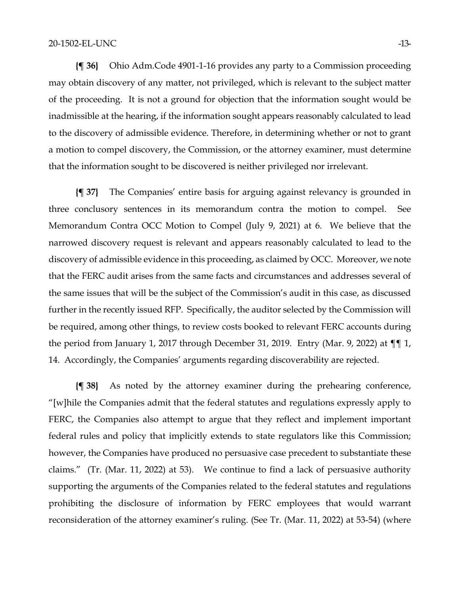**{¶ 36}** Ohio Adm.Code 4901-1-16 provides any party to a Commission proceeding may obtain discovery of any matter, not privileged, which is relevant to the subject matter of the proceeding. It is not a ground for objection that the information sought would be inadmissible at the hearing, if the information sought appears reasonably calculated to lead to the discovery of admissible evidence. Therefore, in determining whether or not to grant a motion to compel discovery, the Commission, or the attorney examiner, must determine that the information sought to be discovered is neither privileged nor irrelevant.

**{¶ 37}** The Companies' entire basis for arguing against relevancy is grounded in three conclusory sentences in its memorandum contra the motion to compel. See Memorandum Contra OCC Motion to Compel (July 9, 2021) at 6. We believe that the narrowed discovery request is relevant and appears reasonably calculated to lead to the discovery of admissible evidence in this proceeding, as claimed by OCC. Moreover, we note that the FERC audit arises from the same facts and circumstances and addresses several of the same issues that will be the subject of the Commission's audit in this case, as discussed further in the recently issued RFP. Specifically, the auditor selected by the Commission will be required, among other things, to review costs booked to relevant FERC accounts during the period from January 1, 2017 through December 31, 2019. Entry (Mar. 9, 2022) at  $\P\P$  1, 14. Accordingly, the Companies' arguments regarding discoverability are rejected.

**{¶ 38}** As noted by the attorney examiner during the prehearing conference, "[w]hile the Companies admit that the federal statutes and regulations expressly apply to FERC, the Companies also attempt to argue that they reflect and implement important federal rules and policy that implicitly extends to state regulators like this Commission; however, the Companies have produced no persuasive case precedent to substantiate these claims." (Tr. (Mar. 11, 2022) at 53). We continue to find a lack of persuasive authority supporting the arguments of the Companies related to the federal statutes and regulations prohibiting the disclosure of information by FERC employees that would warrant reconsideration of the attorney examiner's ruling. (See Tr. (Mar. 11, 2022) at 53-54) (where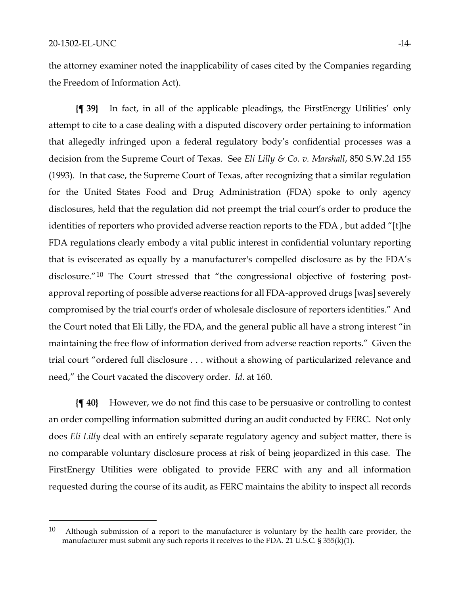the attorney examiner noted the inapplicability of cases cited by the Companies regarding the Freedom of Information Act).

**{¶ 39}** In fact, in all of the applicable pleadings, the FirstEnergy Utilities' only attempt to cite to a case dealing with a disputed discovery order pertaining to information that allegedly infringed upon a federal regulatory body's confidential processes was a decision from the Supreme Court of Texas. See *Eli Lilly & Co. v. Marshall*, 850 S.W.2d 155 (1993). In that case, the Supreme Court of Texas, after recognizing that a similar regulation for the United States Food and Drug Administration (FDA) spoke to only agency disclosures, held that the regulation did not preempt the trial court's order to produce the identities of reporters who provided adverse reaction reports to the FDA , but added "[t]he FDA regulations clearly embody a vital public interest in confidential voluntary reporting that is eviscerated as equally by a manufacturer's compelled disclosure as by the FDA's disclosure."[10](#page-13-0) The Court stressed that "the congressional objective of fostering postapproval reporting of possible adverse reactions for all FDA-approved drugs [was] severely compromised by the trial court's order of wholesale disclosure of reporters identities." And the Court noted that Eli Lilly, the FDA, and the general public all have a strong interest "in maintaining the free flow of information derived from adverse reaction reports." Given the trial court "ordered full disclosure . . . without a showing of particularized relevance and need," the Court vacated the discovery order. *Id*. at 160.

**{¶ 40}** However, we do not find this case to be persuasive or controlling to contest an order compelling information submitted during an audit conducted by FERC. Not only does *Eli Lilly* deal with an entirely separate regulatory agency and subject matter, there is no comparable voluntary disclosure process at risk of being jeopardized in this case. The FirstEnergy Utilities were obligated to provide FERC with any and all information requested during the course of its audit, as FERC maintains the ability to inspect all records

<span id="page-13-0"></span> $10$  Although submission of a report to the manufacturer is voluntary by the health care provider, the manufacturer must submit any such reports it receives to the FDA. 21 U.S.C. § 355(k)(1).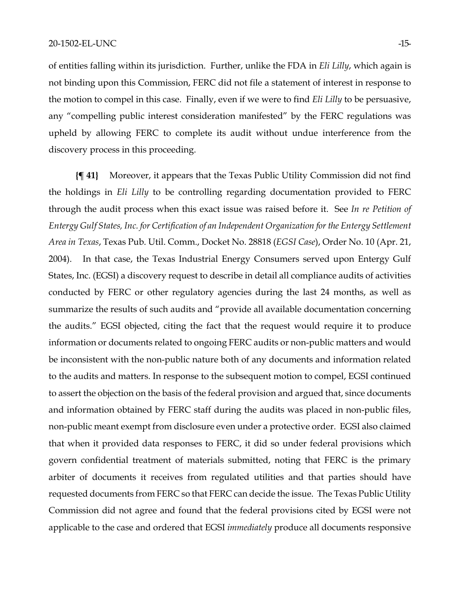of entities falling within its jurisdiction. Further, unlike the FDA in *Eli Lilly*, which again is not binding upon this Commission, FERC did not file a statement of interest in response to the motion to compel in this case. Finally, even if we were to find *Eli Lilly* to be persuasive, any "compelling public interest consideration manifested" by the FERC regulations was upheld by allowing FERC to complete its audit without undue interference from the discovery process in this proceeding.

**{¶ 41}** Moreover, it appears that the Texas Public Utility Commission did not find the holdings in *Eli Lilly* to be controlling regarding documentation provided to FERC through the audit process when this exact issue was raised before it. See *In re Petition of Entergy Gulf States, Inc. for Certification of an Independent Organization for the Entergy Settlement Area in Texas*, Texas Pub. Util. Comm., Docket No. 28818 (*EGSI Case*), Order No. 10 (Apr. 21, 2004). In that case, the Texas Industrial Energy Consumers served upon Entergy Gulf States, Inc. (EGSI) a discovery request to describe in detail all compliance audits of activities conducted by FERC or other regulatory agencies during the last 24 months, as well as summarize the results of such audits and "provide all available documentation concerning the audits." EGSI objected, citing the fact that the request would require it to produce information or documents related to ongoing FERC audits or non-public matters and would be inconsistent with the non-public nature both of any documents and information related to the audits and matters. In response to the subsequent motion to compel, EGSI continued to assert the objection on the basis of the federal provision and argued that, since documents and information obtained by FERC staff during the audits was placed in non-public files, non-public meant exempt from disclosure even under a protective order. EGSI also claimed that when it provided data responses to FERC, it did so under federal provisions which govern confidential treatment of materials submitted, noting that FERC is the primary arbiter of documents it receives from regulated utilities and that parties should have requested documents from FERC so that FERC can decide the issue. The Texas Public Utility Commission did not agree and found that the federal provisions cited by EGSI were not applicable to the case and ordered that EGSI *immediately* produce all documents responsive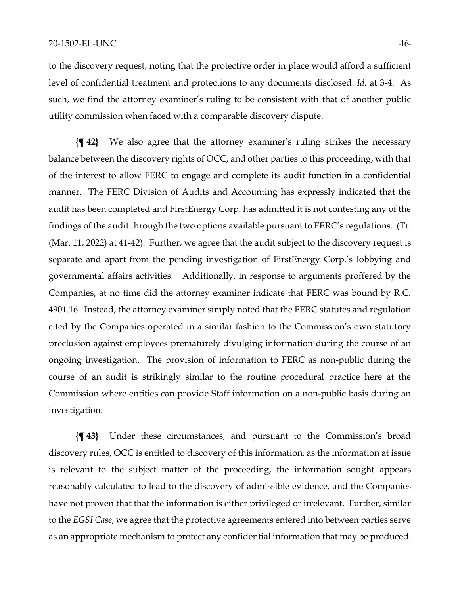to the discovery request, noting that the protective order in place would afford a sufficient level of confidential treatment and protections to any documents disclosed. *Id.* at 3-4. As such, we find the attorney examiner's ruling to be consistent with that of another public utility commission when faced with a comparable discovery dispute.

**{¶ 42}** We also agree that the attorney examiner's ruling strikes the necessary balance between the discovery rights of OCC, and other parties to this proceeding, with that of the interest to allow FERC to engage and complete its audit function in a confidential manner. The FERC Division of Audits and Accounting has expressly indicated that the audit has been completed and FirstEnergy Corp. has admitted it is not contesting any of the findings of the audit through the two options available pursuant to FERC's regulations. (Tr. (Mar. 11, 2022) at 41-42). Further, we agree that the audit subject to the discovery request is separate and apart from the pending investigation of FirstEnergy Corp.'s lobbying and governmental affairs activities. Additionally, in response to arguments proffered by the Companies, at no time did the attorney examiner indicate that FERC was bound by R.C. 4901.16. Instead, the attorney examiner simply noted that the FERC statutes and regulation cited by the Companies operated in a similar fashion to the Commission's own statutory preclusion against employees prematurely divulging information during the course of an ongoing investigation. The provision of information to FERC as non-public during the course of an audit is strikingly similar to the routine procedural practice here at the Commission where entities can provide Staff information on a non-public basis during an investigation.

**{¶ 43}** Under these circumstances, and pursuant to the Commission's broad discovery rules, OCC is entitled to discovery of this information, as the information at issue is relevant to the subject matter of the proceeding, the information sought appears reasonably calculated to lead to the discovery of admissible evidence, and the Companies have not proven that that the information is either privileged or irrelevant. Further, similar to the *EGSI Case*, we agree that the protective agreements entered into between parties serve as an appropriate mechanism to protect any confidential information that may be produced.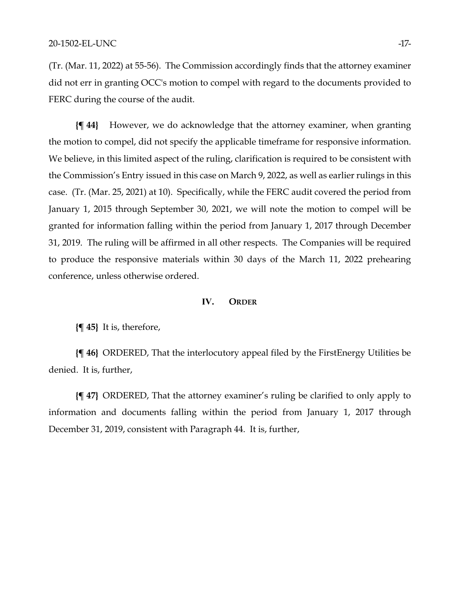(Tr. (Mar. 11, 2022) at 55-56). The Commission accordingly finds that the attorney examiner did not err in granting OCC's motion to compel with regard to the documents provided to FERC during the course of the audit.

**{¶ 44}** However, we do acknowledge that the attorney examiner, when granting the motion to compel, did not specify the applicable timeframe for responsive information. We believe, in this limited aspect of the ruling, clarification is required to be consistent with the Commission's Entry issued in this case on March 9, 2022, as well as earlier rulings in this case. (Tr. (Mar. 25, 2021) at 10). Specifically, while the FERC audit covered the period from January 1, 2015 through September 30, 2021, we will note the motion to compel will be granted for information falling within the period from January 1, 2017 through December 31, 2019. The ruling will be affirmed in all other respects. The Companies will be required to produce the responsive materials within 30 days of the March 11, 2022 prehearing conference, unless otherwise ordered.

#### **IV. ORDER**

**{¶ 45}** It is, therefore,

**{¶ 46}** ORDERED, That the interlocutory appeal filed by the FirstEnergy Utilities be denied. It is, further,

**{¶ 47}** ORDERED, That the attorney examiner's ruling be clarified to only apply to information and documents falling within the period from January 1, 2017 through December 31, 2019, consistent with Paragraph 44. It is, further,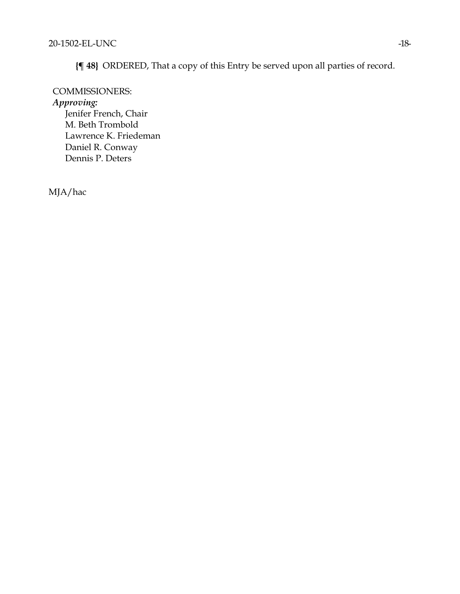**{¶ 48}** ORDERED, That a copy of this Entry be served upon all parties of record.

### COMMISSIONERS:

*Approving:* 

Jenifer French, Chair M. Beth Trombold Lawrence K. Friedeman Daniel R. Conway Dennis P. Deters

MJA/hac